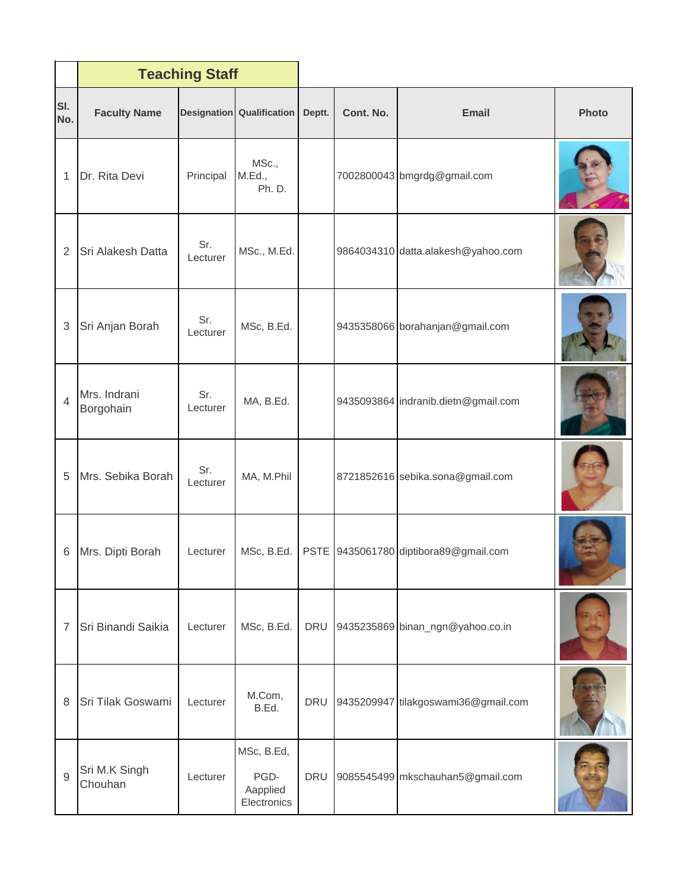|                | <b>Teaching Staff</b>     |                 |                                               |            |           |                                       |              |
|----------------|---------------------------|-----------------|-----------------------------------------------|------------|-----------|---------------------------------------|--------------|
| SI.<br>No.     | <b>Faculty Name</b>       |                 | <b>Designation Qualification</b>              | Deptt.     | Cont. No. | <b>Email</b>                          | <b>Photo</b> |
| 1              | Dr. Rita Devi             | Principal       | MSc.,<br>M.Ed.,<br>Ph. D.                     |            |           | 7002800043 bmgrdg@gmail.com           |              |
| $\overline{2}$ | Sri Alakesh Datta         | Sr.<br>Lecturer | MSc., M.Ed.                                   |            |           | 9864034310 datta.alakesh@yahoo.com    |              |
| 3              | Sri Anjan Borah           | Sr.<br>Lecturer | MSc, B.Ed.                                    |            |           | 9435358066 borahanjan@gmail.com       |              |
| $\overline{4}$ | Mrs. Indrani<br>Borgohain | Sr.<br>Lecturer | MA, B.Ed.                                     |            |           | 9435093864 indranib.dietn@gmail.com   |              |
| 5              | Mrs. Sebika Borah         | Sr.<br>Lecturer | MA, M.Phil                                    |            |           | 8721852616 sebika.sona@gmail.com      |              |
| 6              | Mrs. Dipti Borah          | Lecturer        | MSc, B.Ed.                                    |            |           | PSTE 9435061780 diptibora89@gmail.com |              |
| 7              | Sri Binandi Saikia        | Lecturer        | MSc, B.Ed.                                    | DRU        |           | 9435235869 binan_ngn@yahoo.co.in      |              |
| 8              | Sri Tilak Goswami         | Lecturer        | M.Com,<br>B.Ed.                               | DRU        |           | 9435209947 tilakgoswami36@gmail.com   |              |
| 9              | Sri M.K Singh<br>Chouhan  | Lecturer        | MSc, B.Ed,<br>PGD-<br>Aapplied<br>Electronics | <b>DRU</b> |           | 9085545499 mkschauhan5@gmail.com      |              |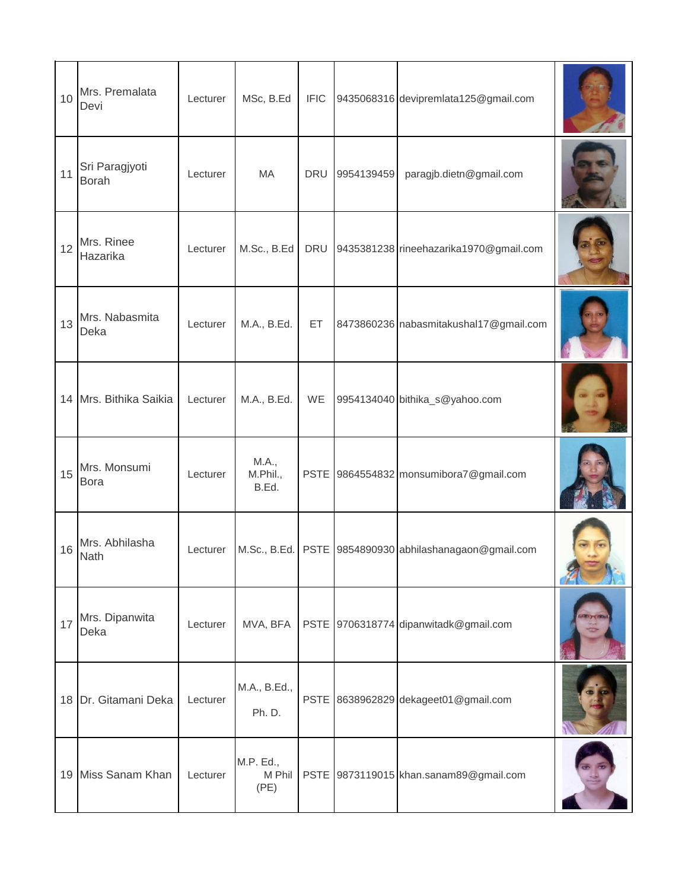| 10 | Mrs. Premalata<br>Devi         | Lecturer | MSc, B.Ed                   | <b>IFIC</b> |            | 9435068316 devipremlata125@gmail.com                   |  |
|----|--------------------------------|----------|-----------------------------|-------------|------------|--------------------------------------------------------|--|
| 11 | Sri Paragjyoti<br><b>Borah</b> | Lecturer | MA                          | <b>DRU</b>  | 9954139459 | paragjb.dietn@gmail.com                                |  |
| 12 | Mrs. Rinee<br>Hazarika         | Lecturer | M.Sc., B.Ed                 | <b>DRU</b>  |            | 9435381238 rineehazarika1970@gmail.com                 |  |
| 13 | Mrs. Nabasmita<br>Deka         | Lecturer | M.A., B.Ed.                 | ET          |            | 8473860236 nabasmitakushal17@gmail.com                 |  |
| 14 | Mrs. Bithika Saikia            | Lecturer | M.A., B.Ed.                 | WE          |            | 9954134040 bithika_s@yahoo.com                         |  |
| 15 | Mrs. Monsumi<br>Bora           | Lecturer | M.A.,<br>M.Phil.,<br>B.Ed.  |             |            | PSTE 9864554832 monsumibora7@gmail.com                 |  |
| 16 | Mrs. Abhilasha<br>Nath         | Lecturer |                             |             |            | M.Sc., B.Ed. PSTE 9854890930 abhilashanagaon@gmail.com |  |
| 17 | Mrs. Dipanwita<br>Deka         | Lecturer | MVA, BFA                    |             |            | PSTE 9706318774 dipanwitadk@gmail.com                  |  |
|    | 18 Dr. Gitamani Deka           | Lecturer | M.A., B.Ed.,<br>Ph. D.      |             |            | PSTE 8638962829 dekageet01@gmail.com                   |  |
|    | 19 Miss Sanam Khan             | Lecturer | M.P. Ed.,<br>M Phil<br>(PE) |             |            | PSTE 9873119015 khan.sanam89@gmail.com                 |  |